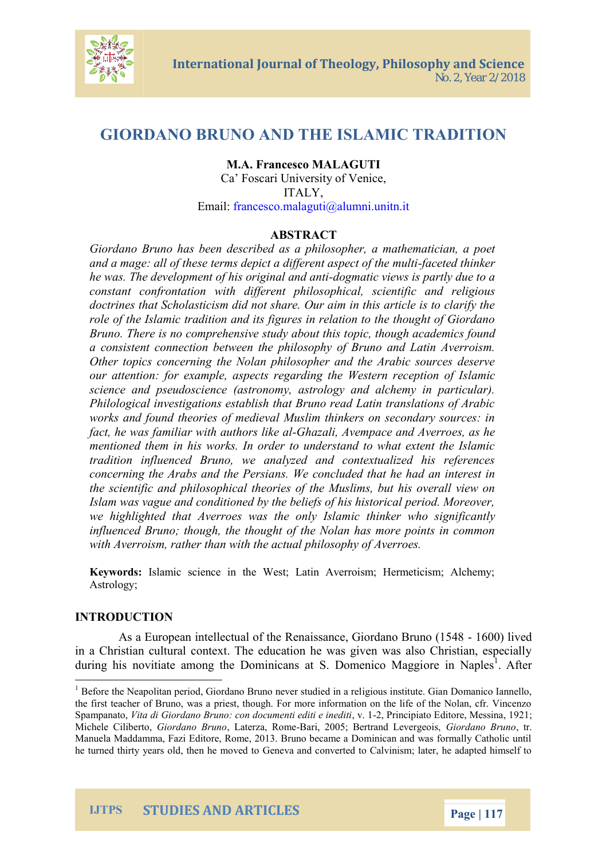## GIORDANO BRUNO HENISLIAMIC TRADITION

# M.A. Francesco MALAGUTI Ca Foscari University of Venice ITALY,

Email :franc[esco.malaguti@](mailto:malaguti@alumni.unitn.it)alumni.unitn.it

#### ABSTRACT

Giordano Bruno has bæsena obehsidorisbo pocher, a mathematician, a and a mage: all of these terms depict-faced the fact multimaks exprect of he was. The development of-dhoi**g** marticcinvale was disapplairtly due to constant confrontation witch pholicfalle, resnotient if  $\delta$  constant religious doctrines that Scholasticism did not share. Our aim in this role of the Islamic tradition and its figures in relation to t Bruno. There is no comprehenospive, sthuduy a bacaut dthis ct found a consistent connection between the philosophy of Bruno Other topics concerning the Nolan philosopher and the Ar our attention: for example, aspects regardiamithe Westerr science and pseudoscience (astronomy, astrology and ald Philological investigations establish that Bruno read Latin works and found theories of medieval Muslim thinkers on : fact, he fawmaistiar with aut-Gonneszalike Andempace and Averroes, a mentioned them in his works. In order to understand to  $w$ tradition influenced Bruno, we analyzed and contextuali concerning the Arabs nash d W teh ex of hearl suidaed that he had an interest interest in the second that inte the scientific and philosophical theories of the Muslims, t Islam was vague and conditioned by the beliefs of his historical period. Moreover, Moreover, and Period. Moreo we highlighted that Averroesiaw at sinker own hy Issilam ificantly influenced Bruno; though, the thought of the Nolan has  $m_1$ with Averroism, rather than with the actual philosophy of A

Keywordstamic science in the West; Latin Averroism; Hermeti A srto I o; a y

## INTRODUCTION

As a European intellectual of the Renaiss&000; liGviecordan in a Christian cultural context. The education he was given during his novitiate among the Dominicoarnes int NSa. pAIDetosemmenico

he turned thirty years old $G$  the mahan move not to Calvinism; later, he added he and  $G$ 

IJTPS STUDIES AND ARTICLES Page 1



 $1$  Before the Neapolitan period, Giordancig Borus oimsetvieurt sstu Gdiiærnd Dnomanameilco Iannel the first teacher of Bruno, was a priest, though. For more information o Spampa Watta, di Giordano Bruno: con docum2te nRiine dipiiæto nEe odlitto to 2, 1Messina Michele CiloBoi**ert**olano , Bruuant**e**rza, BRaoime 2005; BertrandGilo erolango en Binbuno Manuela Maddamma, Fazi Editore, Rome, 2013. Bruno became a Dominic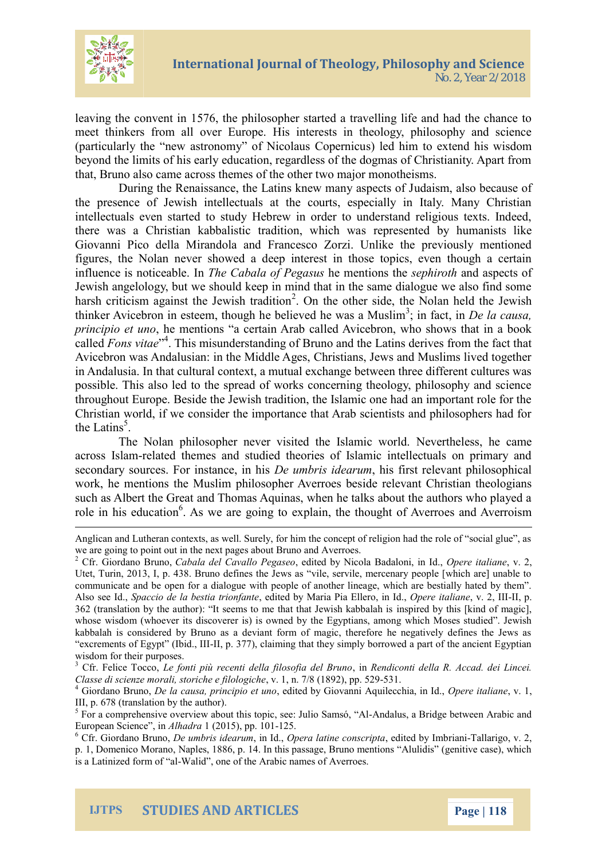

leaving the convent in 1576, the philosopher started a travelling life and had the chance to meet thinkers from all over Europe. His interests in theology, philosophy and science (particularly the "new astronomy" of Nicolaus Copernicus) led him to extend his wisdom beyond the limits of his early education, regardless of the dogmas of Christianity. Apart from that, Bruno also came across themes of the other two major monotheisms.

During the Renaissance, the Latins knew many aspects of Judaism, also because of the presence of Jewish intellectuals at the courts, especially in Italy. Many Christian intellectuals even started to study Hebrew in order to understand religious texts. Indeed, there was a Christian kabbalistic tradition, which was represented by humanists like Giovanni Pico della Mirandola and Francesco Zorzi. Unlike the previously mentioned figures, the Nolan never showed a deep interest in those topics, even though a certain influence is noticeable. In *The Cabala of Pegasus* he mentions the *sephiroth* and aspects of Jewish angelology, but we should keep in mind that in the same dialogue we also find some harsh criticism against the Jewish tradition<sup>2</sup>. On the other side, the Nolan held the Jewish thinker Avicebron in esteem, though he believed he was a Muslim<sup>3</sup>; in fact, in *De la causa*, *principio et uno*, he mentions "a certain Arab called Avicebron, who shows that in a book called *Fons vitae*" 4 . This misunderstanding of Bruno and the Latins derives from the fact that Avicebron was Andalusian: in the Middle Ages, Christians, Jews and Muslims lived together in Andalusia. In that cultural context, a mutual exchange between three different cultures was possible. This also led to the spread of works concerning theology, philosophy and science throughout Europe. Beside the Jewish tradition, the Islamic one had an important role for the Christian world, if we consider the importance that Arab scientists and philosophers had for the Latins<sup>5</sup>.

The Nolan philosopher never visited the Islamic world. Nevertheless, he came across Islam-related themes and studied theories of Islamic intellectuals on primary and secondary sources. For instance, in his *De umbris idearum*, his first relevant philosophical work, he mentions the Muslim philosopher Averroes beside relevant Christian theologians such as Albert the Great and Thomas Aquinas, when he talks about the authors who played a role in his education<sup>6</sup>. As we are going to explain, the thought of Averroes and Averroism

Anglican and Lutheran contexts, as well. Surely, for him the concept of religion had the role of "social glue", as we are going to point out in the next pages about Bruno and Averroes.

<sup>2</sup> Cfr. Giordano Bruno, *Cabala del Cavallo Pegaseo*, edited by Nicola Badaloni, in Id., *Opere italiane*, v. 2, Utet, Turin, 2013, I, p. 438. Bruno defines the Jews as "vile, servile, mercenary people [which are] unable to communicate and be open for a dialogue with people of another lineage, which are bestially hated by them". Also see Id., *Spaccio de la bestia trionfante*, edited by Maria Pia Ellero, in Id., *Opere italiane*, v. 2, III-II, p. 362 (translation by the author): "It seems to me that that Jewish kabbalah is inspired by this [kind of magic], whose wisdom (whoever its discoverer is) is owned by the Egyptians, among which Moses studied". Jewish kabbalah is considered by Bruno as a deviant form of magic, therefore he negatively defines the Jews as "excrements of Egypt" (Ibid., III-II, p. 377), claiming that they simply borrowed a part of the ancient Egyptian wisdom for their purposes.

<sup>3</sup> Cfr. Felice Tocco, *Le fonti più recenti della filosofia del Bruno*, in *Rendiconti della R. Accad. dei Lincei. Classe di scienze morali, storiche e filologiche*, v. 1, n. 7/8 (1892), pp. 529-531.

<sup>4</sup> Giordano Bruno, *De la causa, principio et uno*, edited by Giovanni Aquilecchia, in Id., *Opere italiane*, v. 1, III, p. 678 (translation by the author).

<sup>&</sup>lt;sup>5</sup> For a comprehensive overview about this topic, see: Julio Samsó, "Al-Andalus, a Bridge between Arabic and European Science", in *Alhadra* 1 (2015), pp. 101-125.

<sup>6</sup> Cfr. Giordano Bruno, *De umbris idearum*, in Id., *Opera latine conscripta*, edited by Imbriani-Tallarigo, v. 2, p. 1, Domenico Morano, Naples, 1886, p. 14. In this passage, Bruno mentions "Alulidis" (genitive case), which is a Latinized form of "al-Walid", one of the Arabic names of Averroes.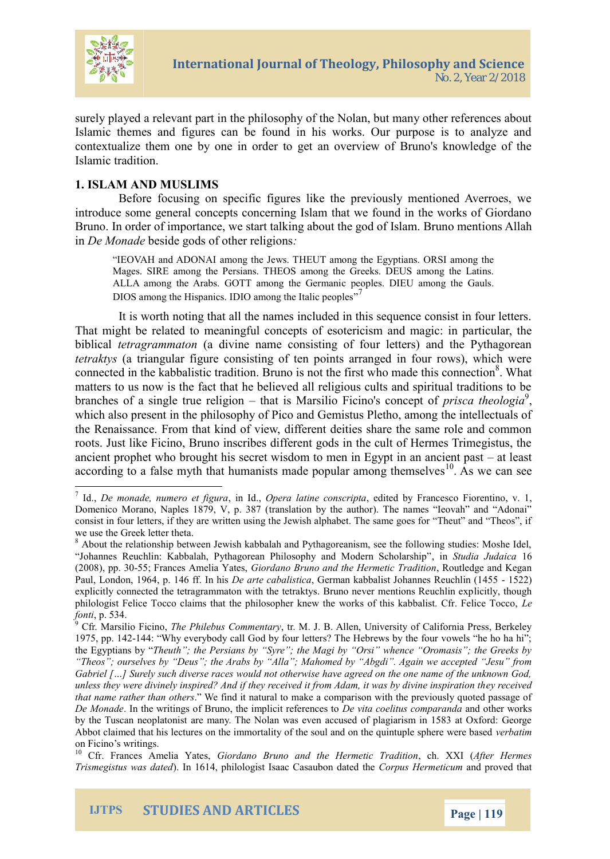

surely played a relevant part in the philosophy of the Nolan, but many other references about Islamic themes and figures can be found in his works. Our purpose is to analyze and contextualize them one by one in order to get an overview of Bruno's knowledge of the Islamic tradition.

## **1. ISLAM AND MUSLIMS**

Before focusing on specific figures like the previously mentioned Averroes, we introduce some general concepts concerning Islam that we found in the works of Giordano Bruno. In order of importance, we start talking about the god of Islam. Bruno mentions Allah in *De Monade* beside gods of other religions*:*

"IEOVAH and ADONAI among the Jews. THEUT among the Egyptians. ORSI among the Mages. SIRE among the Persians. THEOS among the Greeks. DEUS among the Latins. ALLA among the Arabs. GOTT among the Germanic peoples. DIEU among the Gauls. DIOS among the Hispanics. IDIO among the Italic peoples"<sup>7</sup>

It is worth noting that all the names included in this sequence consist in four letters. That might be related to meaningful concepts of esotericism and magic: in particular, the biblical *tetragrammaton* (a divine name consisting of four letters) and the Pythagorean *tetraktys* (a triangular figure consisting of ten points arranged in four rows), which were connected in the kabbalistic tradition. Bruno is not the first who made this connection<sup>8</sup>. What matters to us now is the fact that he believed all religious cults and spiritual traditions to be branches of a single true religion – that is Marsilio Ficino's concept of *prisca theologia*<sup>9</sup>, which also present in the philosophy of Pico and Gemistus Pletho, among the intellectuals of the Renaissance. From that kind of view, different deities share the same role and common roots. Just like Ficino, Bruno inscribes different gods in the cult of Hermes Trimegistus, the ancient prophet who brought his secret wisdom to men in Egypt in an ancient past – at least according to a false myth that humanists made popular among themselves<sup>10</sup>. As we can see

<sup>7</sup> Id., *De monade, numero et figura*, in Id., *Opera latine conscripta*, edited by Francesco Fiorentino, v. 1, Domenico Morano, Naples 1879, V, p. 387 (translation by the author). The names "Ieovah" and "Adonai" consist in four letters, if they are written using the Jewish alphabet. The same goes for "Theut" and "Theos", if we use the Greek letter theta.

<sup>&</sup>lt;sup>8</sup> About the relationship between Jewish kabbalah and Pythagoreanism, see the following studies: Moshe Idel, "Johannes Reuchlin: Kabbalah, Pythagorean Philosophy and Modern Scholarship", in *Studia Judaica* 16 (2008), pp. 30-55; Frances Amelia Yates, *Giordano Bruno and the Hermetic Tradition*, Routledge and Kegan Paul, London, 1964, p. 146 ff. In his *De arte cabalistica*, German kabbalist Johannes Reuchlin (1455 - 1522) explicitly connected the tetragrammaton with the tetraktys. Bruno never mentions Reuchlin explicitly, though philologist Felice Tocco claims that the philosopher knew the works of this kabbalist. Cfr. Felice Tocco, *Le fonti*, p. 534.

<sup>9</sup> Cfr. Marsilio Ficino, *The Philebus Commentary*, tr. M. J. B. Allen, University of California Press, Berkeley 1975, pp. 142-144: "Why everybody call God by four letters? The Hebrews by the four vowels "he ho ha hi"; the Egyptians by "*Theuth"; the Persians by "Syre"; the Magi by "Orsi" whence "Oromasis"; the Greeks by "Theos"; ourselves by "Deus"; the Arabs by "Alla"; Mahomed by "Abgdi". Again we accepted "Jesu" from Gabriel […] Surely such diverse races would not otherwise have agreed on the one name of the unknown God, unless they were divinely inspired? And if they received it from Adam, it was by divine inspiration they received that name rather than others*." We find it natural to make a comparison with the previously quoted passage of *De Monade*. In the writings of Bruno, the implicit references to *De vita coelitus comparanda* and other works by the Tuscan neoplatonist are many. The Nolan was even accused of plagiarism in 1583 at Oxford: George Abbot claimed that his lectures on the immortality of the soul and on the quintuple sphere were based *verbatim* on Ficino's writings.

<sup>10</sup> Cfr. Frances Amelia Yates, *Giordano Bruno and the Hermetic Tradition*, ch. XXI (*After Hermes Trismegistus was dated*). In 1614, philologist Isaac Casaubon dated the *Corpus Hermeticum* and proved that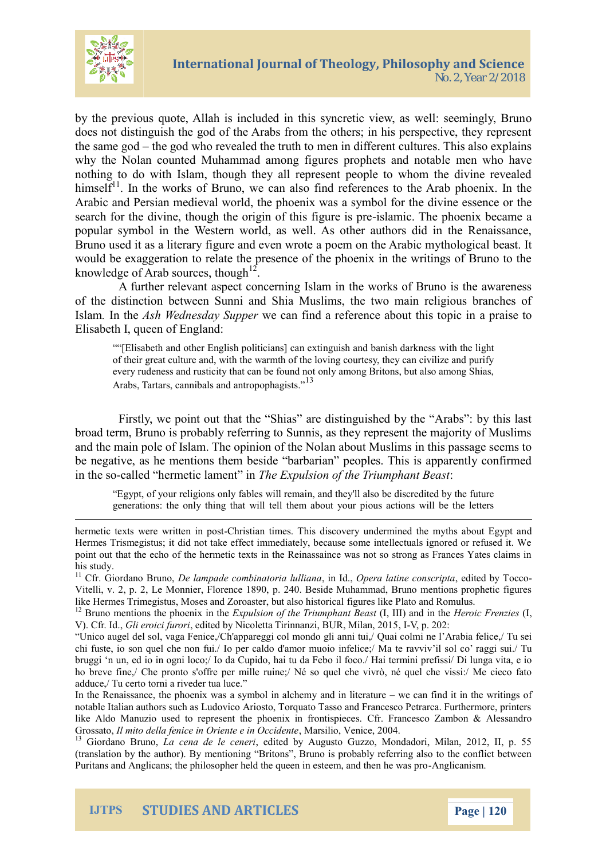

by the previous quote, Allah is included in this syncretic view, as well: seemingly, Bruno does not distinguish the god of the Arabs from the others; in his perspective, they represent the same god – the god who revealed the truth to men in different cultures. This also explains why the Nolan counted Muhammad among figures prophets and notable men who have nothing to do with Islam, though they all represent people to whom the divine revealed himsel $f<sup>11</sup>$ . In the works of Bruno, we can also find references to the Arab phoenix. In the Arabic and Persian medieval world, the phoenix was a symbol for the divine essence or the search for the divine, though the origin of this figure is pre-islamic. The phoenix became a popular symbol in the Western world, as well. As other authors did in the Renaissance, Bruno used it as a literary figure and even wrote a poem on the Arabic mythological beast. It would be exaggeration to relate the presence of the phoenix in the writings of Bruno to the knowledge of Arab sources, though $^{12}$ .

A further relevant aspect concerning Islam in the works of Bruno is the awareness of the distinction between Sunni and Shia Muslims, the two main religious branches of Islam*.* In the *Ash Wednesday Supper* we can find a reference about this topic in a praise to Elisabeth I, queen of England:

""[Elisabeth and other English politicians] can extinguish and banish darkness with the light of their great culture and, with the warmth of the loving courtesy, they can civilize and purify every rudeness and rusticity that can be found not only among Britons, but also among Shias, Arabs, Tartars, cannibals and antropophagists."<sup>13</sup>

Firstly, we point out that the "Shias" are distinguished by the "Arabs": by this last broad term, Bruno is probably referring to Sunnis, as they represent the majority of Muslims and the main pole of Islam. The opinion of the Nolan about Muslims in this passage seems to be negative, as he mentions them beside "barbarian" peoples. This is apparently confirmed in the so-called "hermetic lament" in *The Expulsion of the Triumphant Beast*:

"Egypt, of your religions only fables will remain, and they'll also be discredited by the future generations: the only thing that will tell them about your pious actions will be the letters



hermetic texts were written in post-Christian times. This discovery undermined the myths about Egypt and Hermes Trismegistus; it did not take effect immediately, because some intellectuals ignored or refused it. We point out that the echo of the hermetic texts in the Reinassaince was not so strong as Frances Yates claims in his study.

<sup>&</sup>lt;sup>11</sup> Cfr. Giordano Bruno, *De lampade combinatoria lulliana*, in Id., *Opera latine conscripta*, edited by Tocco-Vitelli, v. 2, p. 2, Le Monnier, Florence 1890, p. 240. Beside Muhammad, Bruno mentions prophetic figures like Hermes Trimegistus, Moses and Zoroaster, but also historical figures like Plato and Romulus.

<sup>12</sup> Bruno mentions the phoenix in the *Expulsion of the Triumphant Beast* (I, III) and in the *Heroic Frenzies* (I, V). Cfr. Id., *Gli eroici furori*, edited by Nicoletta Tirinnanzi, BUR, Milan, 2015, I-V, p. 202:

<sup>&</sup>quot;Unico augel del sol, vaga Fenice,/Ch'appareggi col mondo gli anni tui,/ Quai colmi ne l'Arabia felice,/ Tu sei chi fuste, io son quel che non fui./ Io per caldo d'amor muoio infelice;/ Ma te ravviv'il sol co' raggi sui./ Tu bruggi 'n un, ed io in ogni loco;/ Io da Cupido, hai tu da Febo il foco./ Hai termini prefissi/ Di lunga vita, e io ho breve fine,/ Che pronto s'offre per mille ruine;/ Né so quel che vivrò, né quel che vissi:/ Me cieco fato adduce,/ Tu certo torni a riveder tua luce."

In the Renaissance, the phoenix was a symbol in alchemy and in literature – we can find it in the writings of notable Italian authors such as Ludovico Ariosto, Torquato Tasso and Francesco Petrarca. Furthermore, printers like Aldo Manuzio used to represent the phoenix in frontispieces. Cfr. Francesco Zambon & Alessandro Grossato, *Il mito della fenice in Oriente e in Occidente*, Marsilio, Venice, 2004.

<sup>13</sup> Giordano Bruno, *La cena de le ceneri*, edited by Augusto Guzzo, Mondadori, Milan, 2012, II, p. 55 (translation by the author). By mentioning "Britons", Bruno is probably referring also to the conflict between Puritans and Anglicans; the philosopher held the queen in esteem, and then he was pro-Anglicanism.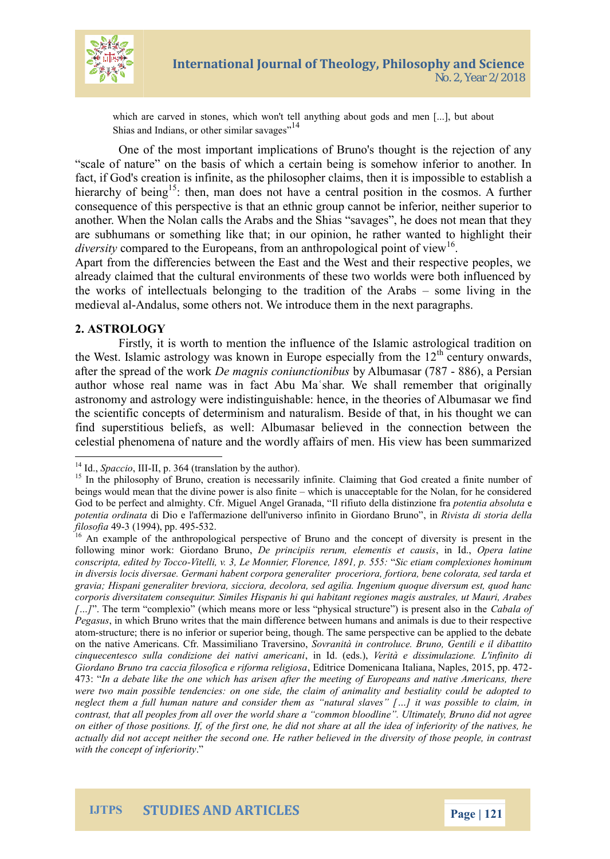

which are carved in stones, which won't tell anything about gods and men [...], but about Shias and Indians, or other similar savages"<sup>14</sup>

One of the most important implications of Bruno's thought is the rejection of any "scale of nature" on the basis of which a certain being is somehow inferior to another. In fact, if God's creation is infinite, as the philosopher claims, then it is impossible to establish a hierarchy of being<sup>15</sup>: then, man does not have a central position in the cosmos. A further consequence of this perspective is that an ethnic group cannot be inferior, neither superior to another. When the Nolan calls the Arabs and the Shias "savages", he does not mean that they are subhumans or something like that; in our opinion, he rather wanted to highlight their diversity compared to the Europeans, from an anthropological point of view<sup>16</sup>.

Apart from the differencies between the East and the West and their respective peoples, we already claimed that the cultural environments of these two worlds were both influenced by the works of intellectuals belonging to the tradition of the Arabs – some living in the medieval al-Andalus, some others not. We introduce them in the next paragraphs.

#### **2. ASTROLOGY**

Firstly, it is worth to mention the influence of the Islamic astrological tradition on the West. Islamic astrology was known in Europe especially from the  $12<sup>th</sup>$  century onwards, after the spread of the work *De magnis coniunctionibus* by Albumasar (787 - 886), a Persian author whose real name was in fact Abu Maʿshar. We shall remember that originally astronomy and astrology were indistinguishable: hence, in the theories of Albumasar we find the scientific concepts of determinism and naturalism. Beside of that, in his thought we can find superstitious beliefs, as well: Albumasar believed in the connection between the celestial phenomena of nature and the wordly affairs of men. His view has been summarized

<sup>14</sup> Id., *Spaccio*, III-II, p. 364 (translation by the author).

<sup>&</sup>lt;sup>15</sup> In the philosophy of Bruno, creation is necessarily infinite. Claiming that God created a finite number of beings would mean that the divine power is also finite – which is unacceptable for the Nolan, for he considered God to be perfect and almighty. Cfr. Miguel Angel Granada, "Il rifiuto della distinzione fra *potentia absoluta* e *potentia ordinata* di Dio e l'affermazione dell'universo infinito in Giordano Bruno", in *Rivista di storia della filosofia* 49-3 (1994), pp. 495-532.

<sup>&</sup>lt;sup>16</sup> An example of the anthropological perspective of Bruno and the concept of diversity is present in the following minor work: Giordano Bruno, *De principiis rerum, elementis et causis*, in Id., *Opera latine conscripta, edited by Tocco-Vitelli, v. 3, Le Monnier, Florence, 1891, p. 555:* "*Sic etiam complexiones hominum in diversis locis diversae. Germani habent corpora generaliter proceriora, fortiora, bene colorata, sed tarda et gravia; Hispani generaliter breviora, sicciora, decolora, sed agilia. Ingenium quoque diversum est, quod hanc corporis diversitatem consequitur. Similes Hispanis hi qui habitant regiones magis australes, ut Mauri, Arabes […]*". The term "complexio" (which means more or less "physical structure") is present also in the *Cabala of Pegasus*, in which Bruno writes that the main difference between humans and animals is due to their respective atom-structure; there is no inferior or superior being, though. The same perspective can be applied to the debate on the native Americans. Cfr. Massimiliano Traversino, *Sovranità in controluce. Bruno, Gentili e il dibattito cinquecentesco sulla condizione dei nativi americani*, in Id. (eds.), *Verità e dissimulazione. L'infinito di Giordano Bruno tra caccia filosofica e riforma religiosa*, Editrice Domenicana Italiana, Naples, 2015, pp. 472- 473: "*In a debate like the one which has arisen after the meeting of Europeans and native Americans, there were two main possible tendencies: on one side, the claim of animality and bestiality could be adopted to neglect them a full human nature and consider them as "natural slaves" […] it was possible to claim, in contrast, that all peoples from all over the world share a "common bloodline". Ultimately, Bruno did not agree on either of those positions. If, of the first one, he did not share at all the idea of inferiority of the natives, he actually did not accept neither the second one. He rather believed in the diversity of those people, in contrast with the concept of inferiority*."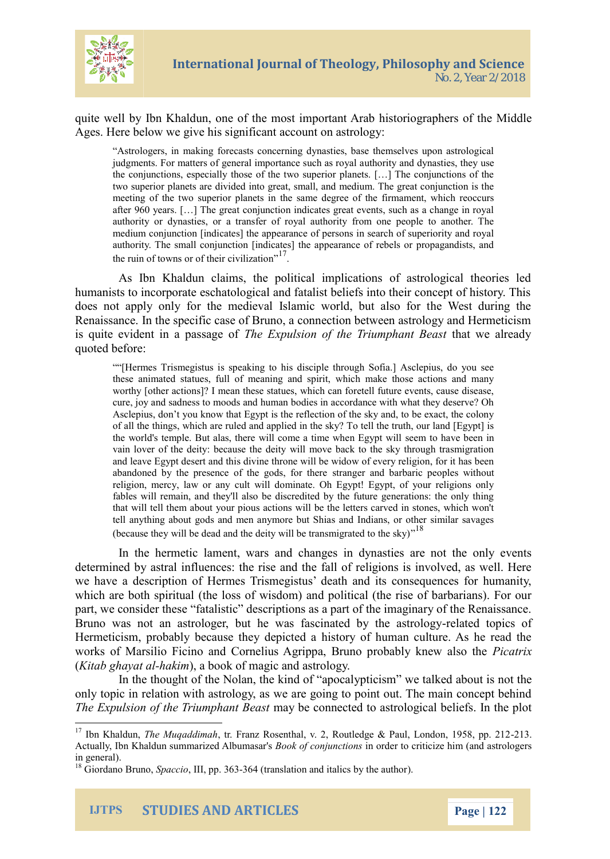

quite well by Ibn Khaldun, one of the most important Arab historiographers of the Middle Ages. Here below we give his significant account on astrology:

"Astrologers, in making forecasts concerning dynasties, base themselves upon astrological judgments. For matters of general importance such as royal authority and dynasties, they use the conjunctions, especially those of the two superior planets. […] The conjunctions of the two superior planets are divided into great, small, and medium. The great conjunction is the meeting of the two superior planets in the same degree of the firmament, which reoccurs after 960 years. […] The great conjunction indicates great events, such as a change in royal authority or dynasties, or a transfer of royal authority from one people to another. The medium conjunction [indicates] the appearance of persons in search of superiority and royal authority. The small conjunction [indicates] the appearance of rebels or propagandists, and the ruin of towns or of their civilization".<sup>17</sup>.

As Ibn Khaldun claims, the political implications of astrological theories led humanists to incorporate eschatological and fatalist beliefs into their concept of history. This does not apply only for the medieval Islamic world, but also for the West during the Renaissance. In the specific case of Bruno, a connection between astrology and Hermeticism is quite evident in a passage of *The Expulsion of the Triumphant Beast* that we already quoted before:

""[Hermes Trismegistus is speaking to his disciple through Sofia.] Asclepius, do you see these animated statues, full of meaning and spirit, which make those actions and many worthy [other actions]? I mean these statues, which can foretell future events, cause disease, cure, joy and sadness to moods and human bodies in accordance with what they deserve? Oh Asclepius, don't you know that Egypt is the reflection of the sky and, to be exact, the colony of all the things, which are ruled and applied in the sky? To tell the truth, our land [Egypt] is the world's temple. But alas, there will come a time when Egypt will seem to have been in vain lover of the deity: because the deity will move back to the sky through trasmigration and leave Egypt desert and this divine throne will be widow of every religion, for it has been abandoned by the presence of the gods, for there stranger and barbaric peoples without religion, mercy, law or any cult will dominate. Oh Egypt! Egypt, of your religions only fables will remain, and they'll also be discredited by the future generations: the only thing that will tell them about your pious actions will be the letters carved in stones, which won't tell anything about gods and men anymore but Shias and Indians, or other similar savages (because they will be dead and the deity will be transmigrated to the sky)<sup> $,18$ </sup>

In the hermetic lament, wars and changes in dynasties are not the only events determined by astral influences: the rise and the fall of religions is involved, as well. Here we have a description of Hermes Trismegistus' death and its consequences for humanity, which are both spiritual (the loss of wisdom) and political (the rise of barbarians). For our part, we consider these "fatalistic" descriptions as a part of the imaginary of the Renaissance. Bruno was not an astrologer, but he was fascinated by the astrology-related topics of Hermeticism, probably because they depicted a history of human culture. As he read the works of Marsilio Ficino and Cornelius Agrippa, Bruno probably knew also the *Picatrix* (*Kitab ghayat al-hakim*), a book of magic and astrology.

In the thought of the Nolan, the kind of "apocalypticism" we talked about is not the only topic in relation with astrology, as we are going to point out. The main concept behind *The Expulsion of the Triumphant Beast* may be connected to astrological beliefs. In the plot

<sup>&</sup>lt;sup>17</sup> Ibn Khaldun, *The Muqaddimah*, tr. Franz Rosenthal, v. 2, Routledge & Paul, London, 1958, pp. 212-213. Actually, Ibn Khaldun summarized Albumasar's *Book of conjunctions* in order to criticize him (and astrologers in general).

<sup>18</sup> Giordano Bruno, *Spaccio*, III, pp. 363-364 (translation and italics by the author).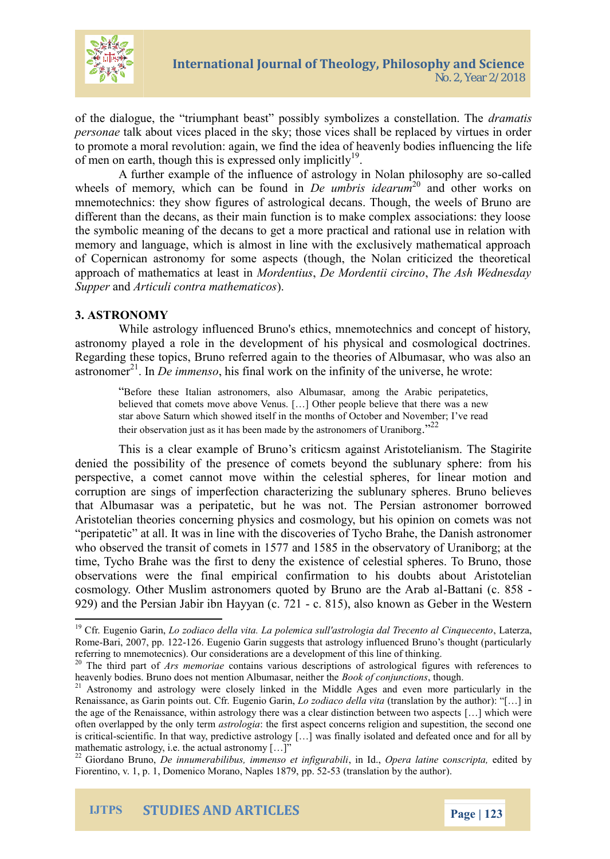

of the dialogue, the "triumphant beast" possibly symbolizes a constellation. The *dramatis personae* talk about vices placed in the sky; those vices shall be replaced by virtues in order to promote a moral revolution: again, we find the idea of heavenly bodies influencing the life of men on earth, though this is expressed only implicitly<sup>19</sup>.

A further example of the influence of astrology in Nolan philosophy are so-called wheels of memory, which can be found in *De umbris idearum*<sup>20</sup> and other works on mnemotechnics: they show figures of astrological decans. Though, the weels of Bruno are different than the decans, as their main function is to make complex associations: they loose the symbolic meaning of the decans to get a more practical and rational use in relation with memory and language, which is almost in line with the exclusively mathematical approach of Copernican astronomy for some aspects (though, the Nolan criticized the theoretical approach of mathematics at least in *Mordentius*, *De Mordentii circino*, *The Ash Wednesday Supper* and *Articuli contra mathematicos*).

## **3. ASTRONOMY**

While astrology influenced Bruno's ethics, mnemotechnics and concept of history, astronomy played a role in the development of his physical and cosmological doctrines. Regarding these topics, Bruno referred again to the theories of Albumasar, who was also an astronomer<sup>21</sup>. In *De immenso*, his final work on the infinity of the universe, he wrote:

"Before these Italian astronomers, also Albumasar, among the Arabic peripatetics, believed that comets move above Venus. […] Other people believe that there was a new star above Saturn which showed itself in the months of October and November; I've read their observation just as it has been made by the astronomers of Uraniborg.<sup>22</sup>

This is a clear example of Bruno's criticsm against Aristotelianism. The Stagirite denied the possibility of the presence of comets beyond the sublunary sphere: from his perspective, a comet cannot move within the celestial spheres, for linear motion and corruption are sings of imperfection characterizing the sublunary spheres. Bruno believes that Albumasar was a peripatetic, but he was not. The Persian astronomer borrowed Aristotelian theories concerning physics and cosmology, but his opinion on comets was not "peripatetic" at all. It was in line with the discoveries of Tycho Brahe, the Danish astronomer who observed the transit of comets in 1577 and 1585 in the observatory of Uraniborg; at the time, Tycho Brahe was the first to deny the existence of celestial spheres. To Bruno, those observations were the final empirical confirmation to his doubts about Aristotelian cosmology. Other Muslim astronomers quoted by Bruno are the Arab al-Battani (c. 858 - 929) and the Persian Jabir ibn Hayyan (c. 721 - c. 815), also known as Geber in the Western

<sup>&</sup>lt;sup>19</sup> Cfr. Eugenio Garin, *Lo zodiaco della vita. La polemica sull'astrologia dal Trecento al Cinquecento*, Laterza, Rome-Bari, 2007, pp. 122-126. Eugenio Garin suggests that astrology influenced Bruno's thought (particularly referring to mnemotecnics). Our considerations are a development of this line of thinking.

<sup>&</sup>lt;sup>20</sup> The third part of *Ars memoriae* contains various descriptions of astrological figures with references to heavenly bodies. Bruno does not mention Albumasar, neither the *Book of conjunctions*, though.

<sup>&</sup>lt;sup>21</sup> Astronomy and astrology were closely linked in the Middle Ages and even more particularly in the Renaissance, as Garin points out. Cfr. Eugenio Garin, *Lo zodiaco della vita* (translation by the author): "[…] in the age of the Renaissance, within astrology there was a clear distinction between two aspects […] which were often overlapped by the only term *astrologia*: the first aspect concerns religion and supestition, the second one is critical-scientific. In that way, predictive astrology […] was finally isolated and defeated once and for all by mathematic astrology, i.e. the actual astronomy [...]"

<sup>22</sup> Giordano Bruno, *De innumerabilibus, immenso et infigurabili*, in Id., *Opera latine* c*onscripta,* edited by Fiorentino, v. 1, p. 1, Domenico Morano, Naples 1879, pp. 52-53 (translation by the author).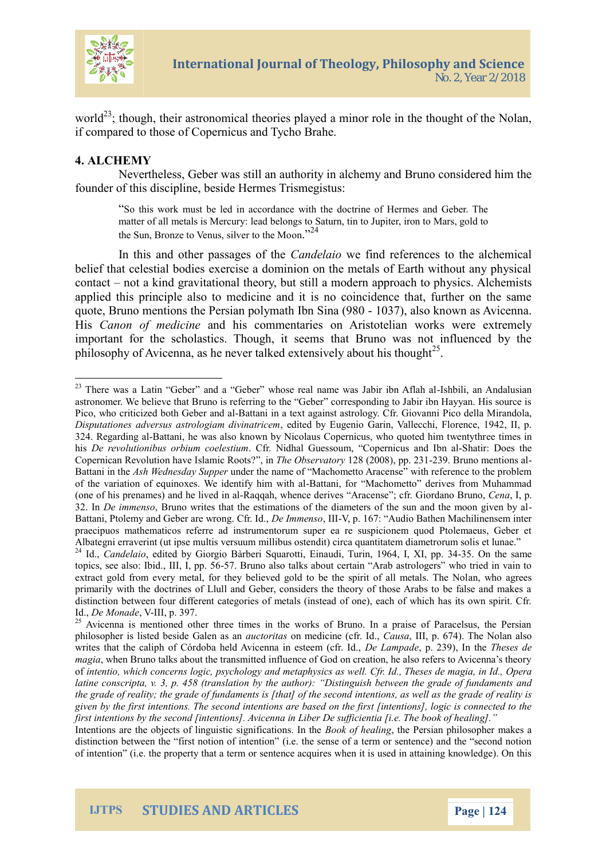

world<sup>23</sup>; though, their astronomical theories played a minor role in the thought of the Nolan, if compared to those of Copernicus and Tycho Brahe.

## **4. ALCHEMY**

Nevertheless, Geber was still an authority in alchemy and Bruno considered him the founder of this discipline, beside Hermes Trismegistus:

"So this work must be led in accordance with the doctrine of Hermes and Geber. The matter of all metals is Mercury: lead belongs to Saturn, tin to Jupiter, iron to Mars, gold to the Sun, Bronze to Venus, silver to the Moon."<sup>24</sup>

In this and other passages of the *Candelaio* we find references to the alchemical belief that celestial bodies exercise a dominion on the metals of Earth without any physical contact – not a kind gravitational theory, but still a modern approach to physics. Alchemists applied this principle also to medicine and it is no coincidence that, further on the same quote, Bruno mentions the Persian polymath Ibn Sina (980 - 1037), also known as Avicenna. His *Canon of medicine* and his commentaries on Aristotelian works were extremely important for the scholastics. Though, it seems that Bruno was not influenced by the philosophy of Avicenna, as he never talked extensively about his thought<sup>25</sup>.

Intentions are the objects of linguistic significations. In the *Book of healing*, the Persian philosopher makes a distinction between the "first notion of intention" (i.e. the sense of a term or sentence) and the "second notion of intention" (i.e. the property that a term or sentence acquires when it is used in attaining knowledge). On this



<sup>&</sup>lt;sup>23</sup> There was a Latin "Geber" and a "Geber" whose real name was Jabir ibn Aflah al-Ishbili, an Andalusian astronomer. We believe that Bruno is referring to the "Geber" corresponding to Jabir ibn Hayyan. His source is Pico, who criticized both Geber and al-Battani in a text against astrology. Cfr. Giovanni Pico della Mirandola, *Disputationes adversus astrologiam divinatricem*, edited by Eugenio Garin, Vallecchi, Florence, 1942, II, p. 324. Regarding al-Battani, he was also known by Nicolaus Copernicus, who quoted him twentythree times in his *De revolutionibus orbium coelestium*. Cfr. Nidhal Guessoum, "Copernicus and Ibn al-Shatir: Does the Copernican Revolution have Islamic Roots?", in *The Observatory* 128 (2008), pp. 231-239. Bruno mentions al-Battani in the *Ash Wednesday Supper* under the name of "Machometto Aracense" with reference to the problem of the variation of equinoxes. We identify him with al-Battani, for "Machometto" derives from Muhammad (one of his prenames) and he lived in al-Raqqah, whence derives "Aracense"; cfr. Giordano Bruno, *Cena*, I, p. 32. In *De immenso*, Bruno writes that the estimations of the diameters of the sun and the moon given by al-Battani, Ptolemy and Geber are wrong. Cfr. Id., *De Immenso*, III-V, p. 167: "Audio Bathen Machilinensem inter praecipuos mathematicos referre ad instrumentorum super ea re suspicionem quod Ptolemaeus, Geber et Albategni erraverint (ut ipse multis versuum millibus ostendit) circa quantitatem diametrorum solis et lunae."

<sup>&</sup>lt;sup>24</sup> Id., *Candelaio*, edited by Giorgio Bàrberi Squarotti, Einaudi, Turin, 1964, I, XI, pp. 34-35. On the same topics, see also: Ibid., III, I, pp. 56-57. Bruno also talks about certain "Arab astrologers" who tried in vain to extract gold from every metal, for they believed gold to be the spirit of all metals. The Nolan, who agrees primarily with the doctrines of Llull and Geber, considers the theory of those Arabs to be false and makes a distinction between four different categories of metals (instead of one), each of which has its own spirit. Cfr. Id., *De Monade*, V-III, p. 397.

<sup>&</sup>lt;sup>25</sup> Avicenna is mentioned other three times in the works of Bruno. In a praise of Paracelsus, the Persian philosopher is listed beside Galen as an *auctoritas* on medicine (cfr. Id., *Causa*, III, p. 674). The Nolan also writes that the caliph of Córdoba held Avicenna in esteem (cfr. Id., *De Lampade*, p. 239), In the *Theses de magia*, when Bruno talks about the transmitted influence of God on creation, he also refers to Avicenna's theory of *intentio, which concerns logic, psychology and metaphysics as well. Cfr. Id., Theses de magia, in Id., Opera latine conscripta, v. 3, p. 458 (translation by the author): "Distinguish between the grade of fundaments and the grade of reality; the grade of fundaments is [that] of the second intentions, as well as the grade of reality is given by the first intentions. The second intentions are based on the first [intentions], logic is connected to the first intentions by the second [intentions]. Avicenna in Liber De sufficientia [i.e. The book of healing]."*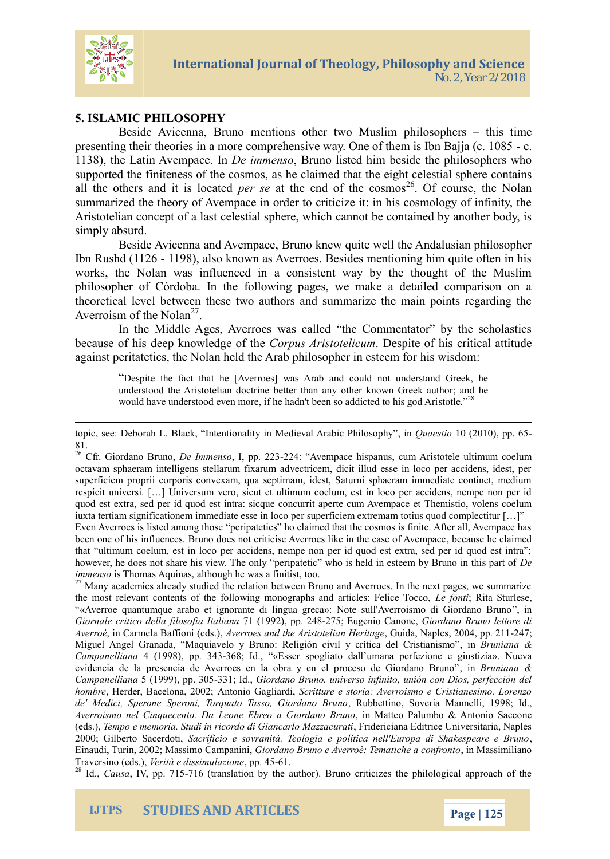

## **5. ISLAMIC PHILOSOPHY**

Beside Avicenna, Bruno mentions other two Muslim philosophers – this time presenting their theories in a more comprehensive way. One of them is Ibn Bajja (c. 1085 - c. 1138), the Latin Avempace. In *De immenso*, Bruno listed him beside the philosophers who supported the finiteness of the cosmos, as he claimed that the eight celestial sphere contains all the others and it is located *per se* at the end of the cosmos<sup>26</sup>. Of course, the Nolan summarized the theory of Avempace in order to criticize it: in his cosmology of infinity, the Aristotelian concept of a last celestial sphere, which cannot be contained by another body, is simply absurd.

Beside Avicenna and Avempace, Bruno knew quite well the Andalusian philosopher Ibn Rushd (1126 - 1198), also known as Averroes. Besides mentioning him quite often in his works, the Nolan was influenced in a consistent way by the thought of the Muslim philosopher of Córdoba. In the following pages, we make a detailed comparison on a theoretical level between these two authors and summarize the main points regarding the Averroism of the Nolan<sup>27</sup>.

In the Middle Ages, Averroes was called "the Commentator" by the scholastics because of his deep knowledge of the *Corpus Aristotelicum*. Despite of his critical attitude against peritatetics, the Nolan held the Arab philosopher in esteem for his wisdom:

"Despite the fact that he [Averroes] was Arab and could not understand Greek, he understood the Aristotelian doctrine better than any other known Greek author; and he would have understood even more, if he hadn't been so addicted to his god Aristotle."<sup>28</sup>

topic, see: Deborah L. Black, "Intentionality in Medieval Arabic Philosophy", in *Quaestio* 10 (2010), pp. 65- 81.

<sup>26</sup> Cfr. Giordano Bruno, *De Immenso*, I, pp. 223-224: "Avempace hispanus, cum Aristotele ultimum coelum octavam sphaeram intelligens stellarum fixarum advectricem, dicit illud esse in loco per accidens, idest, per superficiem proprii corporis convexam, qua septimam, idest, Saturni sphaeram immediate continet, medium respicit universi. […] Universum vero, sicut et ultimum coelum, est in loco per accidens, nempe non per id quod est extra, sed per id quod est intra: sicque concurrit aperte cum Avempace et Themistio, volens coelum iuxta tertiam significationem immediate esse in loco per superficiem extremam totius quod complectitur […]" Even Averroes is listed among those "peripatetics" ho claimed that the cosmos is finite. After all, Avempace has been one of his influences. Bruno does not criticise Averroes like in the case of Avempace, because he claimed

that "ultimum coelum, est in loco per accidens, nempe non per id quod est extra, sed per id quod est intra"; however, he does not share his view. The only "peripatetic" who is held in esteem by Bruno in this part of *De immenso* is Thomas Aquinas, although he was a finitist, too.

<sup>27</sup> Many academics already studied the relation between Bruno and Averroes. In the next pages, we summarize the most relevant contents of the following monographs and articles: Felice Tocco, *Le fonti*; Rita Sturlese, "«Averroe quantumque arabo et ignorante di lingua greca»: Note sull'Averroismo di Giordano Bruno", in *Giornale critico della filosofia Italiana* 71 (1992), pp. 248-275; Eugenio Canone, *Giordano Bruno lettore di Averroè*, in Carmela Baffioni (eds.), *Averroes and the Aristotelian Heritage*, Guida, Naples, 2004, pp. 211-247; Miguel Angel Granada, "Maquiavelo y Bruno: Religión civil y crítica del Cristianismo", in *Bruniana & Campanelliana* 4 (1998), pp. 343-368; Id., "«Esser spogliato dall'umana perfezione e giustizia». Nueva evidencia de la presencia de Averroes en la obra y en el proceso de Giordano Bruno", in *Bruniana & Campanelliana* 5 (1999), pp. 305-331; Id., *Giordano Bruno. universo infinito, unión con Dios, perfección del hombre*, Herder, Bacelona, 2002; Antonio Gagliardi, *Scritture e storia: Averroismo e Cristianesimo. Lorenzo de' Medici, Sperone Speroni, Torquato Tasso, Giordano Bruno*, Rubbettino, Soveria Mannelli, 1998; Id., *Averroismo nel Cinquecento. Da Leone Ebreo a Giordano Bruno*, in Matteo Palumbo & Antonio Saccone (eds.), *Tempo e memoria. Studi in ricordo di Giancarlo Mazzacurati*, Fridericiana Editrice Universitaria, Naples 2000; Gilberto Sacerdoti, *Sacrificio e sovranità. Teologia e politica nell'Europa di Shakespeare e Bruno*, Einaudi, Turin, 2002; Massimo Campanini, *Giordano Bruno e Averroè: Tematiche a confronto*, in Massimiliano Traversino (eds.), *Verità e dissimulazione*, pp. 45-61.

<sup>28</sup> Id., *Causa*, IV, pp. 715-716 (translation by the author). Bruno criticizes the philological approach of the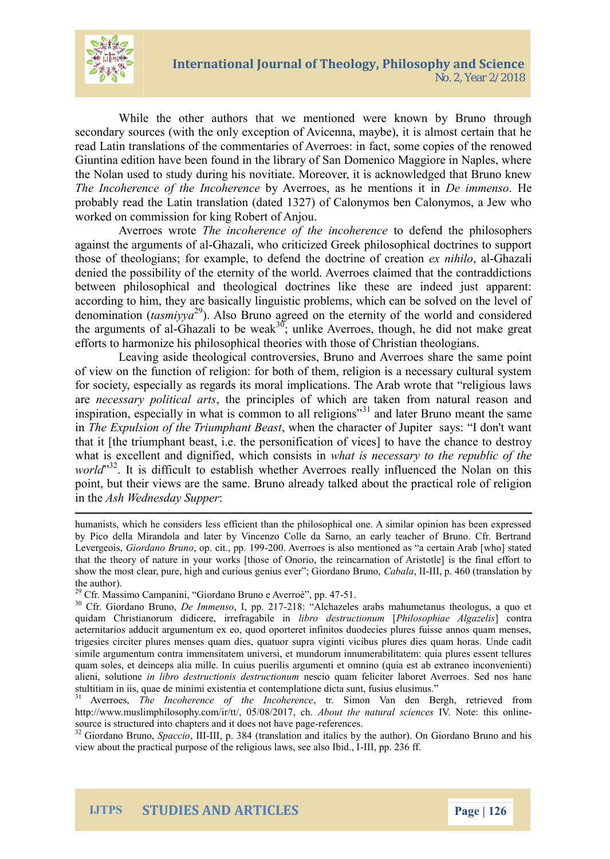## International Journal of Theology, Phi No. 2, Year 2/2018

While the other authors that we mentioned were know secondary sources (with the only exception of Avicenna, may read Latin translations of the commentaries of eAverroe weesd in f Giuntina edition have been found in the library of San Domer the Nolan used to study during his novitiate. Moreover, it is The Incoherence of they Invocorheesences he inmodentions in hetape probably read the Latin translation (dated 1327) of Calonym worked on commission for king Robert of Anjou.

Averroes Whetencoherence of the dredend retheephilosoph against the argeoment alig fwa contricized Greek philosophical doctrines to support the support of  $\alpha$ those of theologians; for example, to deefxemdhible helogatrine of denied the possibility of the eternity of the world. Averroes beween philosophical and theological doctrines like these according to him, they are basically linguistic problems, whi denominatism  $f_{\theta}^{2}$ ya Also Bruno agreed on the etermside of the w the argumen Gista  $\alpha$  and  $\alpha$  and the  $\alpha$  is undertake Averroes, though, he did not efforts to harmonize his philotshoopsheicoafl  **heics rtiion as whitehologians.** 

Leaving aside theological controversies, Brampoiand Ave of view on the function of religion: for both of them, religion for society, especially as regards its moral implications. The arenecessary politituchael parritrsciples offailwehnich roammenatural reason inspiration, especially in what is<sup>31</sup> $\alpha$  and meant obtain be meants the  $in$ The Expulsion of the Triwulm enchalme Beast acter of Jupiter says: that it [the triumphant behase ticlate on the f p ices] to have the ch what is excellent and dignifiend, a whis cheosens in the republic of the republic of the republic of the the the the the republic of the the the the tensor of the the tensor of the tensor of the tensor of the tensor of th worl<sup>3</sup>d. It is difficult to establish whether Averroes really in point, butiews ira ve the same. Bruno already talked about the in theh Wednesday Supper

humanist bich he considers less efficient than the philosophical one. A simular opinion has been expressed to h by Pico della Mirandola and later by Vincenzo Colle da Sarno, an earl LevergeGoiiosr, daBhroun, co.p. cit., -2000. v1e92r9/oes is also mentioned as a certain Ara that the theory of nature in your works [those of Onorio, the reincarnat show the most clear, pure, high and curious adoean bulls, epeet #GorGa@iloantoionamed yBruno  $the$  au)thor

<sup>29</sup>Cfr. Massimo ÇaGmi**pa**onalmio Bruno e AvSetroè , pp. 47

 $30$ Cfr. Giordano D Brummenso p. 228 Alchazeles arabs mahumetanus theologi quidam Christianorum didicer**e**ibroirrefersatgrabili**Phe**nilionnaophiae ]Algoanzterkais aeternitarios adducit argumentum ex eo, quod oporteret infinitos duodec trigesies circiter plures menses quam dies, quatuor sup a die goia diitvicibu simile argumentum contra immensitatem universi, et mundorum innumeral quam soles, et deinceps alia mille. In cuius puerilis argumenti et omnin alieni, soliontiloibobe estructionis desntersuocitoio quan meliciter la **Sed**ethoAsvehrance es stultitiam in iis, quae de minimi existentia et contemplatione dicta sunt,  $31$  AverroeTsh, Incoherence of the trinc. Simon beam den Bolerginho, minetrieve [http://www.muslimphilo](http://www.muslimphilosophy.com/ir/tt/)sophy.com/And/otu/t, 10h5e/0n8al2L0n1al7Ny.sodKnietnec:esthis online source is structured into chapters mafred ein odeoses not have page  $32$ Giordano BSmpuano, cilellli, p. 8r&na4 s(lation and hiota buid) the Diny Giordano Bruno and h view about the practical purpose of the -Irlelligpipo.u & 316a wfs., see also Ibid., I

IJTPS STUDIES AND ARTICLES Page 2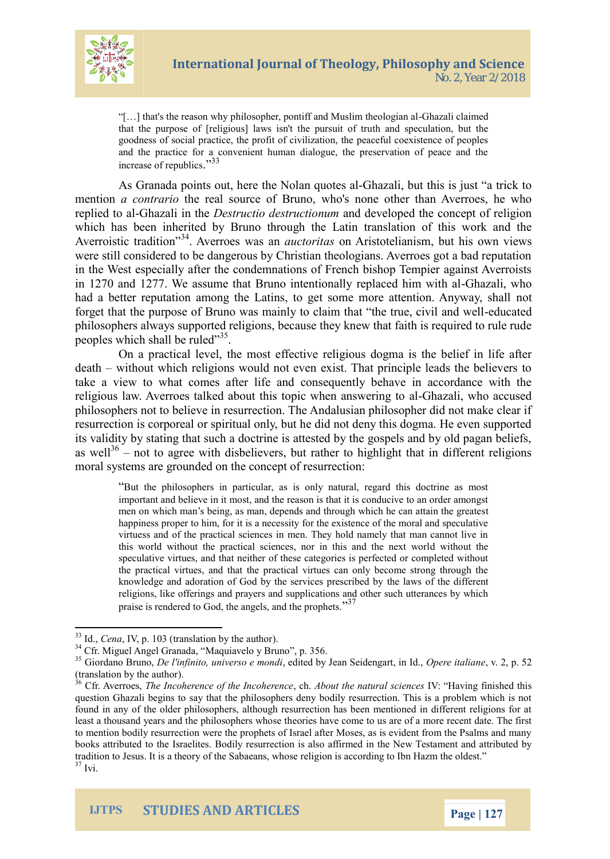

"[…] that's the reason why philosopher, pontiff and Muslim theologian al-Ghazali claimed that the purpose of [religious] laws isn't the pursuit of truth and speculation, but the goodness of social practice, the profit of civilization, the peaceful coexistence of peoples and the practice for a convenient human dialogue, the preservation of peace and the increase of republics."<sup>33</sup>

As Granada points out, here the Nolan quotes al-Ghazali, but this is just "a trick to mention *a contrario* the real source of Bruno, who's none other than Averroes, he who replied to al-Ghazali in the *Destructio destructionum* and developed the concept of religion which has been inherited by Bruno through the Latin translation of this work and the Averroistic tradition"<sup>34</sup>. Averroes was an *auctoritas* on Aristotelianism, but his own views were still considered to be dangerous by Christian theologians. Averroes got a bad reputation in the West especially after the condemnations of French bishop Tempier against Averroists in 1270 and 1277. We assume that Bruno intentionally replaced him with al-Ghazali, who had a better reputation among the Latins, to get some more attention. Anyway, shall not forget that the purpose of Bruno was mainly to claim that "the true, civil and well-educated philosophers always supported religions, because they knew that faith is required to rule rude peoples which shall be ruled"<sup>35</sup>.

On a practical level, the most effective religious dogma is the belief in life after death – without which religions would not even exist. That principle leads the believers to take a view to what comes after life and consequently behave in accordance with the religious law. Averroes talked about this topic when answering to al-Ghazali, who accused philosophers not to believe in resurrection. The Andalusian philosopher did not make clear if resurrection is corporeal or spiritual only, but he did not deny this dogma. He even supported its validity by stating that such a doctrine is attested by the gospels and by old pagan beliefs, as well<sup>36</sup> – not to agree with disbelievers, but rather to highlight that in different religions moral systems are grounded on the concept of resurrection:

"But the philosophers in particular, as is only natural, regard this doctrine as most important and believe in it most, and the reason is that it is conducive to an order amongst men on which man's being, as man, depends and through which he can attain the greatest happiness proper to him, for it is a necessity for the existence of the moral and speculative virtuess and of the practical sciences in men. They hold namely that man cannot live in this world without the practical sciences, nor in this and the next world without the speculative virtues, and that neither of these categories is perfected or completed without the practical virtues, and that the practical virtues can only become strong through the knowledge and adoration of God by the services prescribed by the laws of the different religions, like offerings and prayers and supplications and other such utterances by which praise is rendered to God, the angels, and the prophets."<sup>37</sup>



<sup>33</sup> Id., *Cena*, IV, p. 103 (translation by the author).

<sup>&</sup>lt;sup>34</sup> Cfr. Miguel Angel Granada, "Maquiavelo y Bruno", p. 356.

<sup>35</sup> Giordano Bruno, *De l'infinito, universo e mondi*, edited by Jean Seidengart, in Id., *Opere italiane*, v. 2, p. 52 (translation by the author).

<sup>36</sup> Cfr. Averroes, *The Incoherence of the Incoherence*, ch. *About the natural sciences* IV: "Having finished this question Ghazali begins to say that the philosophers deny bodily resurrection. This is a problem which is not found in any of the older philosophers, although resurrection has been mentioned in different religions for at least a thousand years and the philosophers whose theories have come to us are of a more recent date. The first to mention bodily resurrection were the prophets of Israel after Moses, as is evident from the Psalms and many books attributed to the Israelites. Bodily resurrection is also affirmed in the New Testament and attributed by tradition to Jesus. It is a theory of the Sabaeans, whose religion is according to Ibn Hazm the oldest." <sup>37</sup> Ivi.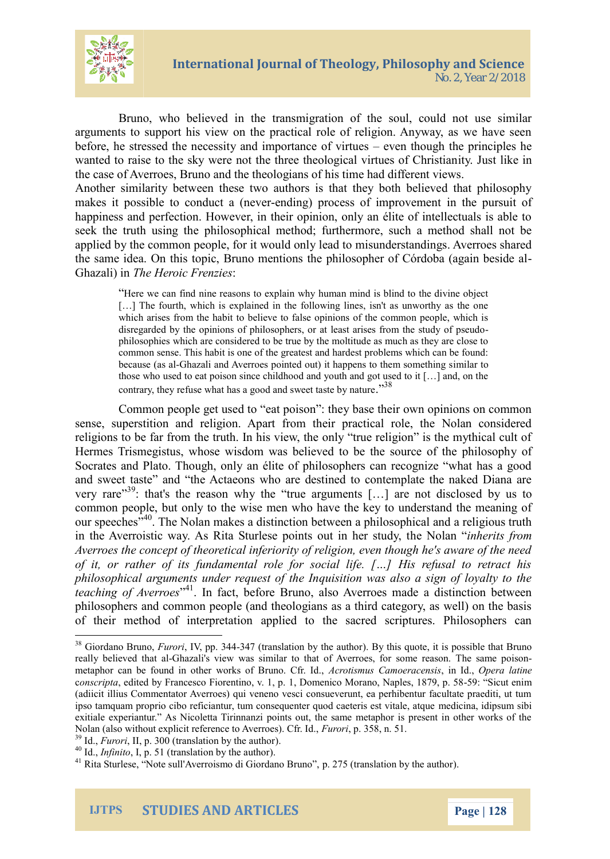

Bruno, who believed in the transmigration of the soul, could not use similar arguments to support his view on the practical role of religion. Anyway, as we have seen before, he stressed the necessity and importance of virtues – even though the principles he wanted to raise to the sky were not the three theological virtues of Christianity. Just like in the case of Averroes, Bruno and the theologians of his time had different views.

Another similarity between these two authors is that they both believed that philosophy makes it possible to conduct a (never-ending) process of improvement in the pursuit of happiness and perfection. However, in their opinion, only an élite of intellectuals is able to seek the truth using the philosophical method; furthermore, such a method shall not be applied by the common people, for it would only lead to misunderstandings. Averroes shared the same idea. On this topic, Bruno mentions the philosopher of Córdoba (again beside al-Ghazali) in *The Heroic Frenzies*:

"Here we can find nine reasons to explain why human mind is blind to the divine object [...] The fourth, which is explained in the following lines, isn't as unworthy as the one which arises from the habit to believe to false opinions of the common people, which is disregarded by the opinions of philosophers, or at least arises from the study of pseudophilosophies which are considered to be true by the moltitude as much as they are close to common sense. This habit is one of the greatest and hardest problems which can be found: because (as al-Ghazali and Averroes pointed out) it happens to them something similar to those who used to eat poison since childhood and youth and got used to it […] and, on the contrary, they refuse what has a good and sweet taste by nature."<sup>38</sup>

Common people get used to "eat poison": they base their own opinions on common sense, superstition and religion. Apart from their practical role, the Nolan considered religions to be far from the truth. In his view, the only "true religion" is the mythical cult of Hermes Trismegistus, whose wisdom was believed to be the source of the philosophy of Socrates and Plato. Though, only an élite of philosophers can recognize "what has a good and sweet taste" and "the Actaeons who are destined to contemplate the naked Diana are very rare"<sup>39</sup>: that's the reason why the "true arguments [...] are not disclosed by us to common people, but only to the wise men who have the key to understand the meaning of our speeches<sup>"40</sup>. The Nolan makes a distinction between a philosophical and a religious truth in the Averroistic way. As Rita Sturlese points out in her study, the Nolan "*inherits from Averroes the concept of theoretical inferiority of religion, even though he's aware of the need of it, or rather of its fundamental role for social life. […] His refusal to retract his philosophical arguments under request of the Inquisition was also a sign of loyalty to the teaching of Averroes*" <sup>41</sup>. In fact, before Bruno, also Averroes made a distinction between philosophers and common people (and theologians as a third category, as well) on the basis of their method of interpretation applied to the sacred scriptures. Philosophers can

<sup>&</sup>lt;sup>38</sup> Giordano Bruno, *Furori*, IV, pp. 344-347 (translation by the author). By this quote, it is possible that Bruno really believed that al-Ghazali's view was similar to that of Averroes, for some reason. The same poisonmetaphor can be found in other works of Bruno. Cfr. Id., *Acrotismus Camoeracensis*, in Id., *Opera latine* c*onscripta*, edited by Francesco Fiorentino, v. 1, p. 1, Domenico Morano, Naples, 1879, p. 58-59: "Sicut enim (adiicit illius Commentator Averroes) qui veneno vesci consueverunt, ea perhibentur facultate praediti, ut tum ipso tamquam proprio cibo reficiantur, tum consequenter quod caeteris est vitale, atque medicina, idipsum sibi exitiale experiantur." As Nicoletta Tirinnanzi points out, the same metaphor is present in other works of the Nolan (also without explicit reference to Averroes). Cfr. Id., *Furori*, p. 358, n. 51.

<sup>&</sup>lt;sup>39</sup> Id., *Furori*, II, p. 300 (translation by the author).

<sup>40</sup> Id., *Infinito*, I, p. 51 (translation by the author).

<sup>41</sup> Rita Sturlese, "Note sull'Averroismo di Giordano Bruno", p. 275 (translation by the author).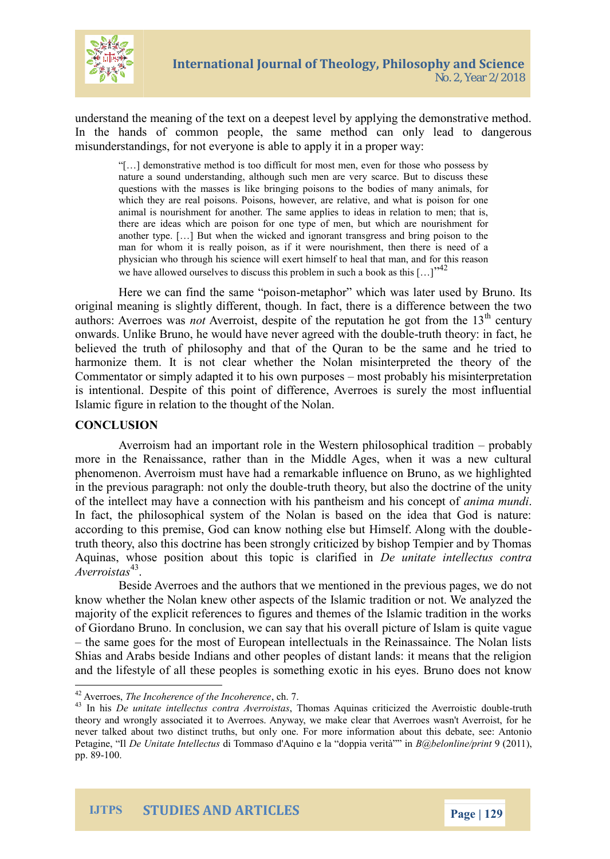understand the meaning of the text on a deepest level by applying the meaning of the text on a deepest level by appl In the hands of common people, the same method can  $m$  is understandings, for a balget to a product is a proper way:

[&] demonstrative method is too difficult for most men, even for t nature a sound understanding, although such men are very scarce questions with the masses inslitice the intoging of sominary animals, for which they are real poisons. Poisons, however, are relative, and animal is nourishment for another. The same applies to ideas in r there are ideas which arteyppeoics forme for but which are nourishment f another type. [&] But when the wicked and ignorant transgress an man for whom it is really poison, as if it were nourishment, there physician who through heist shciime neef wollheal that man, and for this r we have allowed ourselves to discuss this problem in such a book a

Here we can find the meeten polision and was later used by original meaning is slightly ndfial foat et the rehols op haifference between the two difference distribution o authors: AvermoAssewracsist, despite of the reputaticoem the eygot fr onwards. Unlike Bruno, he would have new tehr tahoeroeneyd whit hat the believed the trim both pothly pain id that of the Quran to be the sar harmonize them. It is not clear whether the Nolan misint Commentator or simply adapted intidistipsion babily unipsoms interpretation or simply adapted interpretation by the sense interpretation or simply adapted interpretation by an interpretation or simply adapted interpretatio is intentionae. Diethpis point of difference, Averroes is surel Islamic figure in relation to the thought of the Nolan.

### CONCLUSION

Averroism had an important role in the Wepsntoebabphy iloso more in the Renaissande, the ath  $M$  idd the Ages, when it was a phenomenon. Averroism must have had a remarkable influenc in the previous paragraph: tnot thoth of the doctrine in the doctrine of the intellecet am asyon have ction with his panthe assimina and the ideon-In fact, the philosophical system of the Nolan is based on according to this premise, God can know nothing else but H truth thælos roy, this doctrine has been strongly criticized by bish Aquinas, whose position about this topicatis intellies dusing contain to  $A$ verro $1\overline{3}$ tas

Beside Averroes and the authors that we medbioned in the previous pages,  $\theta$ know whether the Nolan knew other aspects of the Islamic tradition majority of the explicit references to figures and themes of  $t$ of Giordano Bruno. In conclusion, wpeccuane scafy Ith atm hiss couvide eat

the same goes for the most of European intellectuals in the Shias and Arabs beside Indians and other peoples of distant and the lifestyle of allsthese pheopole xotic in his eyes. Brund

IJTPS STUDIES AND ARTICLES Page 2

 $42A$ verroTehse, Incoherence of the hln $Z$ oherence

 $^{43}$ In hDse unitate intoenite $\alpha$ tuAsveor, This bansas Aquinas criticized the utAnverroistic theory and wrongly associated it to Averroes. Anyway, we make clear th never talked about two distinct truths, but abbyuto the is Fober Antonion format Petagin De Unitate IndelTemtmaso d'Aquino e la Bol@pheinonviern2t/  $\hat{p}$  2011 fil), pp.  $-890$ .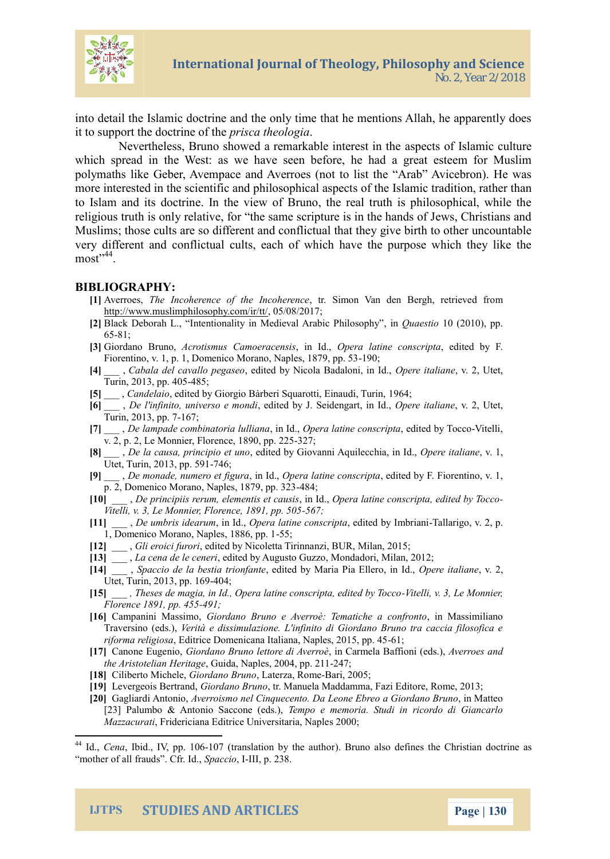into detail the Islamic doctrine and the only time that he me it to support the doctroined hoefoll beging

Nevertheless, Bruno showed a reamsaprekcatis leofinisela ensitcionuting which spread in the West: as we have seen before, he had polymaths like Geber, Avempace and Averroes (not to list the more interested in the scientifics aonfd the ils baomphoictar a baist pionent rather than to Islam and its doctrine. In the view of Bruno, the real tr religious truth is only relative, for the same scripture is in Muslims; those ocdiffee agets and conflictual that they give birth very different and conflictual cults, each of which have the m o  $s^4$ t<sup>4</sup>.

#### BIBLIOGRAPHY:

- [1]Averro Tebe Incoherence of the trin Soinhonnen Notaen demie Breedighin, onnet  $http://www.muslimphilo,s@bMQ8d@M7r/tt/$  $http://www.muslimphilo,s@bMQ8d@M7r/tt/$
- $[2B$ lack Deborlanhteln.t. ionality in Medieval Arianabuia e $B$ thilood  $B$  on  $\mathfrak{g}$  , pp. 65-81:
- $[3]$ Giordano BAroumodismus Camoeinadoop, seirsa latinmsec rojpta edited by F.

Ficemtino, v. 1, p. 1, Domenico Moration, Naples, 1879, pp. 53  $[4]_{-\alpha}$  , C, a bala del cavalloe dpiego asbeyo. Nicola BaOdpaelo en iitalmidae, Utet, Turin, 2013, 485; 405

- [5] \_ Candelaid by Giorgio Bàrberi Squa 604tti, Einaudi, Turin,
- $[6]_{\_\_}\$ D,e l'infinito, univeresobit**e** dmobynoUi. Seid**@pgae**rt,itanival**ou2**e, Utet,
- Turin, 2013,6pp. 7
- $[7]_{-\_}$  D,e lampade combinationi koolohuelrlaalmaatinsecrojpetalited b $\cdot$ Wittencloio  $v. 2, p. 2, Le M$ emmeer18 $P$ 90,  $327$ ; 225
- $[8]_{--}$  D,e la causa, principodicted tbuy no  $G$ iovanni Aq $\Omega$  plere certitaliane d., Utet, Turin, 204734,6pp. 591
- $[9]_{-\_}$ D,e monade, numeron elo $d$ pijegruar alaotinnsec rojpetalited by F. Fiorentino, v. 1, p. 2, Domenico Morano, Nap4l&4; 1879, pp. 323
- $[10]_\mathrm{\,-\,}$  D,e principiis rerum, eleminenk $\Omega$ bipseneat bænotinnssnergipetalited by Tocco
- Vitelli, v. 3, Le Monnier, FleGence, 1891, pp. 505  $[11]$  \_ De umbris idmealno $\Omega$  ppera laotines ctrotipe dited by ITmablating to, v. 2, p.
- 1, Domenico Morano, Na-p5es, 1886, pp. 1
- [12] \_\_ G, li eroici, feud otreid by Nicoletta Tirinnanzi, BUR, Milan, 2015;
- [13]\_\_La cena de leedetne driby Augusto Guzzo, Mondadori, Milan, 2012;
- $[14]_{--}$  S,pacciolad be estia tr,io endfiat one by Maria PiaO pēlemeeroitailmia ho2e,,
- Utet, Turin, 204430, 4 pp. 169
- $[15]_{--}$ , Theses de magia, in Id., Opera lat-Miceclons cr $8p$ the eMdoinendeby To  $Florence 189149p. 455$
- [16]Campanini M, aSsi**sindano** Bruno e Averroè: Te, mantidMhaes saincidina fr**onto** Traversino V(eerd sà) e dissimulazione. L'infinito di Giordano Bruno tra riforma religidos ace Domenicana Italiana 61 Naples, 2015, pp. 45
- [17]Canone Eugendano Bruno letto, reind C Awme en a è Baffive nir o e dsand
- the Aristotelia, nGheidia a gleaples, 2204074; pp. 211
- $[18]$ Ciliberto MGdbedano , Blanterza, BRaoime 2005;
- [19]evergeois Boeindranando, Brun Manuela Maadda Emdmitao, roF, Rome, 2013;
- [20]Gagliardi AANveenrioismo nel CinqueenemeEab.rGaDbardBamuon, cin Matteo [23]Palumbo & Antonio SalGecmone (e onsemonia. Studi in ricordo di Gian Mazzacu Fartidericiana Editrice Usni20@09i;taria, Naple

 $44$ Id.Cenalbid., IV, - $p$  $\phi$ 7tr $\phi$ 06 lation by )th Branthor defines the eChristian doctanic rine as  $p$ m other of all frau $\mathbb S$ psac, Gilibiri., Ipd. 238.